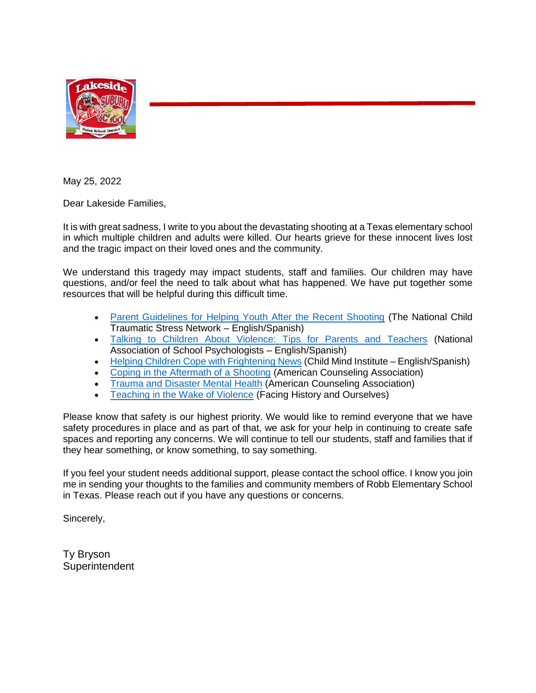

May 25, 2022

Dear Lakeside Families,

It is with great sadness, I write to you about the devastating shooting at a Texas elementary school in which multiple children and adults were killed. Our hearts grieve for these innocent lives lost and the tragic impact on their loved ones and the community.

We understand this tragedy may impact students, staff and families. Our children may have questions, and/or feel the need to talk about what has happened. We have put together some resources that will be helpful during this difficult time.

- [Parent Guidelines for Helping Youth After the Recent Shooting](https://www.nctsn.org/resources/parent-guidelines-helping-youth-after-recent-shooting) (The National Child Traumatic Stress Network – English/Spanish)
- [Talking to Children About Violence: Tips for Parents and Teachers](https://www.nasponline.org/resources-and-publications/resources-and-podcasts/school-safety-and-crisis/school-violence-resources/talking-to-children-about-violence-tips-for-parents-and-teachers) (National Association of School Psychologists – English/Spanish)
- [Helping Children Cope with Frightening News](https://childmind.org/article/helping-children-cope-frightening-news/) (Child Mind Institute English/Spanish)
- [Coping in the Aftermath of a Shooting](https://www.counseling.org/knowledge-center/coping-in-the-aftermath-of-a-shooting) (American Counseling Association)
- [Trauma and Disaster Mental Health](https://www.counseling.org/knowledge-center/mental-health-resources/trauma-disaster) (American Counseling Association)
- [Teaching in the Wake of Violence](https://www.facinghistory.org/educator-resources/current-events/teaching-wake-violence) (Facing History and Ourselves)

Please know that safety is our highest priority. We would like to remind everyone that we have safety procedures in place and as part of that, we ask for your help in continuing to create safe spaces and reporting any concerns. We will continue to tell our students, staff and families that if they hear something, or know something, to say something.

If you feel your student needs additional support, please contact the school office. I know you join me in sending your thoughts to the families and community members of Robb Elementary School in Texas. Please reach out if you have any questions or concerns.

Sincerely,

Ty Bryson **Superintendent**